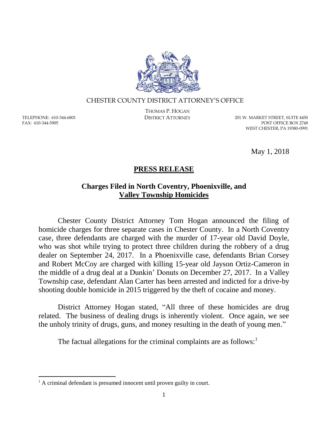

#### CHESTER COUNTY DISTRICT ATTORNEY'S OFFICE

TELEPHONE: 610-344-6801 FAX: 610-344-5905

 $\overline{a}$ 

THOMAS P. HOGAN

DISTRICT ATTORNEY 201 W. MARKET STREET, SUITE 4450 POST OFFICE BOX 2748 WEST CHESTER, PA 19380-0991

May 1, 2018

# **PRESS RELEASE**

## **Charges Filed in North Coventry, Phoenixville, and Valley Township Homicides**

Chester County District Attorney Tom Hogan announced the filing of homicide charges for three separate cases in Chester County. In a North Coventry case, three defendants are charged with the murder of 17-year old David Doyle, who was shot while trying to protect three children during the robbery of a drug dealer on September 24, 2017. In a Phoenixville case, defendants Brian Corsey and Robert McCoy are charged with killing 15-year old Jayson Ortiz-Cameron in the middle of a drug deal at a Dunkin' Donuts on December 27, 2017. In a Valley Township case, defendant Alan Carter has been arrested and indicted for a drive-by shooting double homicide in 2015 triggered by the theft of cocaine and money.

District Attorney Hogan stated, "All three of these homicides are drug related. The business of dealing drugs is inherently violent. Once again, we see the unholy trinity of drugs, guns, and money resulting in the death of young men."

The factual allegations for the criminal complaints are as follows: $<sup>1</sup>$ </sup>

<sup>&</sup>lt;sup>1</sup> A criminal defendant is presumed innocent until proven guilty in court.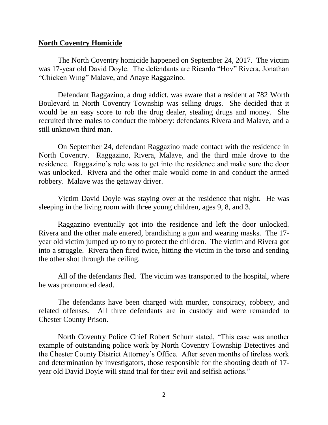## **North Coventry Homicide**

The North Coventry homicide happened on September 24, 2017. The victim was 17-year old David Doyle. The defendants are Ricardo "Hov" Rivera, Jonathan "Chicken Wing" Malave, and Anaye Raggazino.

Defendant Raggazino, a drug addict, was aware that a resident at 782 Worth Boulevard in North Coventry Township was selling drugs. She decided that it would be an easy score to rob the drug dealer, stealing drugs and money. She recruited three males to conduct the robbery: defendants Rivera and Malave, and a still unknown third man.

On September 24, defendant Raggazino made contact with the residence in North Coventry. Raggazino, Rivera, Malave, and the third male drove to the residence. Raggazino's role was to get into the residence and make sure the door was unlocked. Rivera and the other male would come in and conduct the armed robbery. Malave was the getaway driver.

Victim David Doyle was staying over at the residence that night. He was sleeping in the living room with three young children, ages 9, 8, and 3.

Raggazino eventually got into the residence and left the door unlocked. Rivera and the other male entered, brandishing a gun and wearing masks. The 17 year old victim jumped up to try to protect the children. The victim and Rivera got into a struggle. Rivera then fired twice, hitting the victim in the torso and sending the other shot through the ceiling.

All of the defendants fled. The victim was transported to the hospital, where he was pronounced dead.

The defendants have been charged with murder, conspiracy, robbery, and related offenses. All three defendants are in custody and were remanded to Chester County Prison.

North Coventry Police Chief Robert Schurr stated, "This case was another example of outstanding police work by North Coventry Township Detectives and the Chester County District Attorney's Office. After seven months of tireless work and determination by investigators, those responsible for the shooting death of 17 year old David Doyle will stand trial for their evil and selfish actions."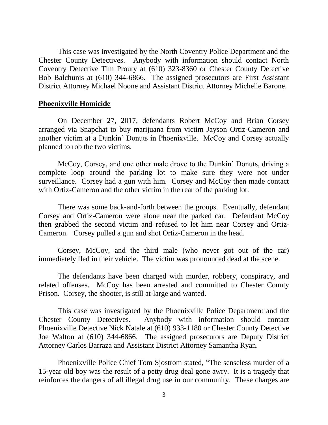This case was investigated by the North Coventry Police Department and the Chester County Detectives. Anybody with information should contact North Coventry Detective Tim Prouty at (610) 323-8360 or Chester County Detective Bob Balchunis at (610) 344-6866. The assigned prosecutors are First Assistant District Attorney Michael Noone and Assistant District Attorney Michelle Barone.

#### **Phoenixville Homicide**

On December 27, 2017, defendants Robert McCoy and Brian Corsey arranged via Snapchat to buy marijuana from victim Jayson Ortiz-Cameron and another victim at a Dunkin' Donuts in Phoenixville. McCoy and Corsey actually planned to rob the two victims.

McCoy, Corsey, and one other male drove to the Dunkin' Donuts, driving a complete loop around the parking lot to make sure they were not under surveillance. Corsey had a gun with him. Corsey and McCoy then made contact with Ortiz-Cameron and the other victim in the rear of the parking lot.

There was some back-and-forth between the groups. Eventually, defendant Corsey and Ortiz-Cameron were alone near the parked car. Defendant McCoy then grabbed the second victim and refused to let him near Corsey and Ortiz-Cameron. Corsey pulled a gun and shot Ortiz-Cameron in the head.

Corsey, McCoy, and the third male (who never got out of the car) immediately fled in their vehicle. The victim was pronounced dead at the scene.

The defendants have been charged with murder, robbery, conspiracy, and related offenses. McCoy has been arrested and committed to Chester County Prison. Corsey, the shooter, is still at-large and wanted.

This case was investigated by the Phoenixville Police Department and the Chester County Detectives. Anybody with information should contact Phoenixville Detective Nick Natale at (610) 933-1180 or Chester County Detective Joe Walton at (610) 344-6866. The assigned prosecutors are Deputy District Attorney Carlos Barraza and Assistant District Attorney Samantha Ryan.

Phoenixville Police Chief Tom Sjostrom stated, "The senseless murder of a 15-year old boy was the result of a petty drug deal gone awry. It is a tragedy that reinforces the dangers of all illegal drug use in our community. These charges are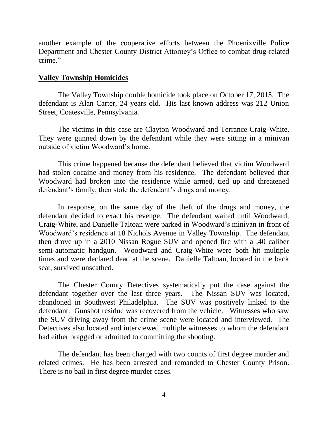another example of the cooperative efforts between the Phoenixville Police Department and Chester County District Attorney's Office to combat drug-related crime."

## **Valley Township Homicides**

The Valley Township double homicide took place on October 17, 2015. The defendant is Alan Carter, 24 years old. His last known address was 212 Union Street, Coatesville, Pennsylvania.

The victims in this case are Clayton Woodward and Terrance Craig-White. They were gunned down by the defendant while they were sitting in a minivan outside of victim Woodward's home.

This crime happened because the defendant believed that victim Woodward had stolen cocaine and money from his residence. The defendant believed that Woodward had broken into the residence while armed, tied up and threatened defendant's family, then stole the defendant's drugs and money.

In response, on the same day of the theft of the drugs and money, the defendant decided to exact his revenge. The defendant waited until Woodward, Craig-White, and Danielle Taltoan were parked in Woodward's minivan in front of Woodward's residence at 18 Nichols Avenue in Valley Township. The defendant then drove up in a 2010 Nissan Rogue SUV and opened fire with a .40 caliber semi-automatic handgun. Woodward and Craig-White were both hit multiple times and were declared dead at the scene. Danielle Taltoan, located in the back seat, survived unscathed.

The Chester County Detectives systematically put the case against the defendant together over the last three years. The Nissan SUV was located, abandoned in Southwest Philadelphia. The SUV was positively linked to the defendant. Gunshot residue was recovered from the vehicle. Witnesses who saw the SUV driving away from the crime scene were located and interviewed. The Detectives also located and interviewed multiple witnesses to whom the defendant had either bragged or admitted to committing the shooting.

The defendant has been charged with two counts of first degree murder and related crimes. He has been arrested and remanded to Chester County Prison. There is no bail in first degree murder cases.